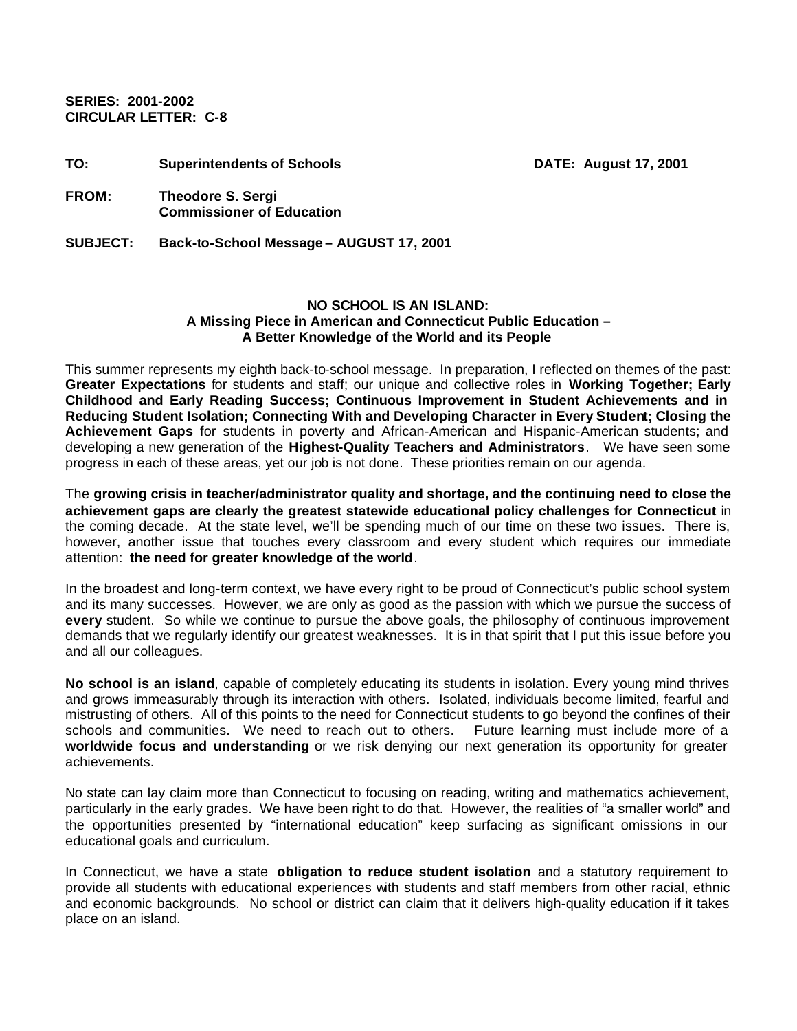**SERIES: 2001-2002 CIRCULAR LETTER: C-8** 

| TO:             | <b>Superintendents of Schools</b>                            | <b>DATE: August 17, 2001</b> |
|-----------------|--------------------------------------------------------------|------------------------------|
| <b>FROM:</b>    | <b>Theodore S. Sergi</b><br><b>Commissioner of Education</b> |                              |
| <b>SUBJECT:</b> | Back-to-School Message - AUGUST 17, 2001                     |                              |

**NO SCHOOL IS AN ISLAND: A Missing Piece in American and Connecticut Public Education – A Better Knowledge of the World and its People**

This summer represents my eighth back-to-school message. In preparation, I reflected on themes of the past: **Greater Expectations** for students and staff; our unique and collective roles in **Working Together; Early Childhood and Early Reading Success; Continuous Improvement in Student Achievements and in Reducing Student Isolation; Connecting With and Developing Character in Every Student; Closing the Achievement Gaps** for students in poverty and African-American and Hispanic-American students; and developing a new generation of the **Highest-Quality Teachers and Administrators**. We have seen some progress in each of these areas, yet our job is not done. These priorities remain on our agenda.

The **growing crisis in teacher/administrator quality and shortage, and the continuing need to close the achievement gaps are clearly the greatest statewide educational policy challenges for Connecticut** in the coming decade. At the state level, we'll be spending much of our time on these two issues. There is, however, another issue that touches every classroom and every student which requires our immediate attention: **the need for greater knowledge of the world**.

In the broadest and long-term context, we have every right to be proud of Connecticut's public school system and its many successes. However, we are only as good as the passion with which we pursue the success of **every** student. So while we continue to pursue the above goals, the philosophy of continuous improvement demands that we regularly identify our greatest weaknesses. It is in that spirit that I put this issue before you and all our colleagues.

**No school is an island**, capable of completely educating its students in isolation. Every young mind thrives and grows immeasurably through its interaction with others. Isolated, individuals become limited, fearful and mistrusting of others. All of this points to the need for Connecticut students to go beyond the confines of their schools and communities. We need to reach out to others. Future learning must include more of a **worldwide focus and understanding** or we risk denying our next generation its opportunity for greater achievements.

No state can lay claim more than Connecticut to focusing on reading, writing and mathematics achievement, particularly in the early grades. We have been right to do that. However, the realities of "a smaller world" and the opportunities presented by "international education" keep surfacing as significant omissions in our educational goals and curriculum.

In Connecticut, we have a state **obligation to reduce student isolation** and a statutory requirement to provide all students with educational experiences with students and staff members from other racial, ethnic and economic backgrounds. No school or district can claim that it delivers high-quality education if it takes place on an island.